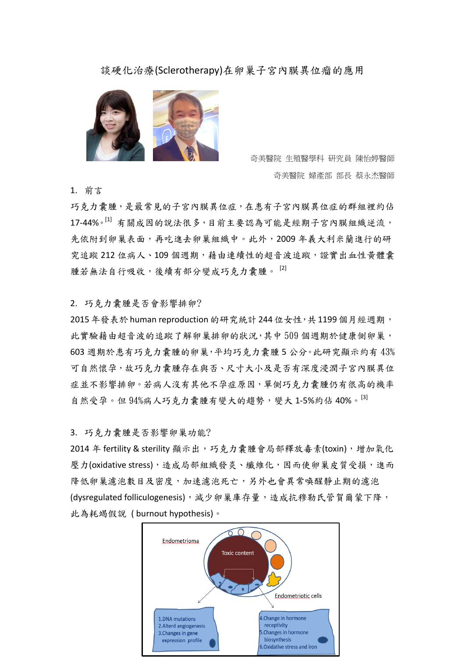## 談硬化治療(Sclerotherapy)在卵巢子宮內膜異位瘤的應用



 奇美醫院 生殖醫學科 研究員 陳怡婷醫師 奇美醫院 婦產部 部長 蔡永杰醫師

1. 前言

巧克力囊腫,是最常見的子宮內膜異位症,在患有子宮內膜異位症的群組裡約佔 17-44%。[1] 有關成因的說法很多,目前主要認為可能是經期子宮內膜組織逆流, 先依附到卵巢表面,再吃進去卵巢組織中。此外,2009年義大利米蘭進行的研 究追蹤 212 位病人、109 個週期,藉由連續性的超音波追蹤,證實出血性黃體囊 腫若無法自行吸收,後續有部分變成巧克力囊腫。 [2]

## 2. 巧克力囊腫是否會影響排卵?

2015年發表於human reproduction 的研究統計244位女性,共1199個月經週期, 此實驗藉由超音波的追蹤了解卵巢排卵的狀況,其中 509 個週期於健康側卵巢, 603 週期於患有巧克力囊腫的卵巢,平均巧克力囊腫 5 公分。此研究顯示約有 43% 可自然懷孕,故巧克力囊腫存在與否、尺寸大小及是否有深度浸潤子宮內膜異位 症並不影響排卵。若病人沒有其他不孕症原因,單側巧克力囊腫仍有很高的機率 自然受孕。但 94%病人巧克力囊腫有變大的趨勢,變大 1-5%約佔 40%。[3]

## 3. 巧克力囊腫是否影響卵巢功能?

2014年 fertility & sterility 顯示出,巧克力囊腫會局部釋放毒素(toxin),增加氧化 壓力(oxidative stress),造成局部組織發炎、纖維化,因而使卵巢皮質受損,進而 降低卵巢濾泡數目及密度,加速濾泡死亡,另外也會異常喚醒靜止期的濾泡 (dysregulated folliculogenesis), 減少卵巢庫存量,造成抗穆勒氏管賀爾蒙下降, 此為耗竭假說 ( burnout hypothesis)。

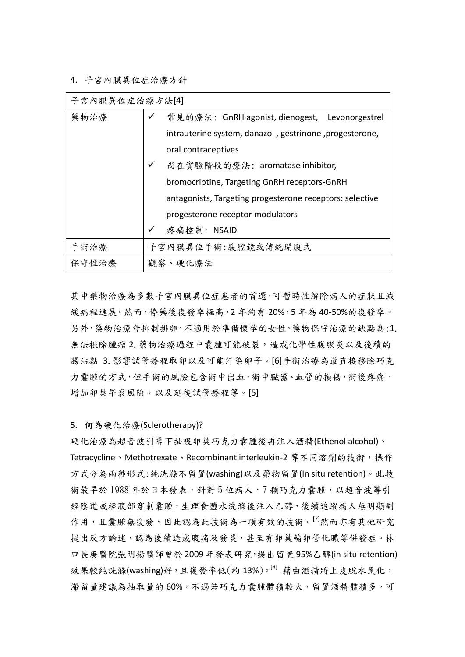4. 子宮內膜異位症治療方針

| 子宫内膜異位症治療方法[4] |              |                                                          |
|----------------|--------------|----------------------------------------------------------|
| 藥物治療           |              | ✔ 常見的療法: GnRH agonist, dienogest, Levonorgestrel         |
|                |              | intrauterine system, danazol, gestrinone, progesterone,  |
|                |              | oral contraceptives                                      |
|                | ✓            | 尚在實驗階段的療法: aromatase inhibitor,                          |
|                |              | bromocriptine, Targeting GnRH receptors-GnRH             |
|                |              | antagonists, Targeting progesterone receptors: selective |
|                |              | progesterone receptor modulators                         |
|                | $\checkmark$ | 疼痛控制: NSAID                                              |
| 手術治療           |              | 子宫内膜異位手術:腹腔鏡或傳統開腹式                                       |
| 保守性治療          |              | 觀察、硬化療法                                                  |

其中藥物治療為多數子宮內膜異位症患者的首選,可暫時性解除病人的症狀且減 緩病程進展。然而,停藥後復發率極高,2年約有20%,5年為40-50%的復發率。 另外,藥物治療會抑制排卵,不適用於準備懷孕的女性。藥物保守治療的缺點為:1. 無法根除腫瘤 2. 藥物治療過程中囊腫可能破裂,造成化學性腹膜炎以及後續的 腸沾黏 3.影響試管療程取卵以及可能汙染卵子。[6]手術治療為最直接移除巧克 力囊腫的方式,但手術的風險包含術中出血,術中臟器、血管的損傷,術後疼痛, 增加卵巢早衰風險,以及延後試管療程等。[5]

5. 何為硬化治療(Sclerotherapy)?

硬化治療為超音波引導下抽吸卵巢巧克力囊腫後再注入酒精(Ethenol alcohol)、 Tetracycline、Methotrexate、Recombinant interleukin-2 等不同溶劑的技術,操作 方式分為兩種形式:純洗滌不留置(washing)以及藥物留置(In situ retention)。此技 術最早於1988年於日本發表,針對5位病人,7顆巧克力囊腫,以超音波導引 經陰道或經腹部穿刺囊腫,生理食鹽水洗滌後注入乙醇,後續追蹤病人無明顯副 作用,且囊腫無復發,因此認為此技術為一項有效的技術。[7]然而亦有其他研究 提出反方論述,認為後續造成腹痛及發炎,甚至有卵巢輸卵管化膿等併發症。林 口長庚醫院張明揚醫師曾於 2009 年發表研究,提出留置 95%乙醇(in situ retention) 效果較純洗滌(washing)好,且復發率低(約13%)。[8] 藉由酒精將上皮脫水氣化, 滯留量建議為抽取量的 60%,不過若巧克力囊腫體積較大,留置酒精體積多,可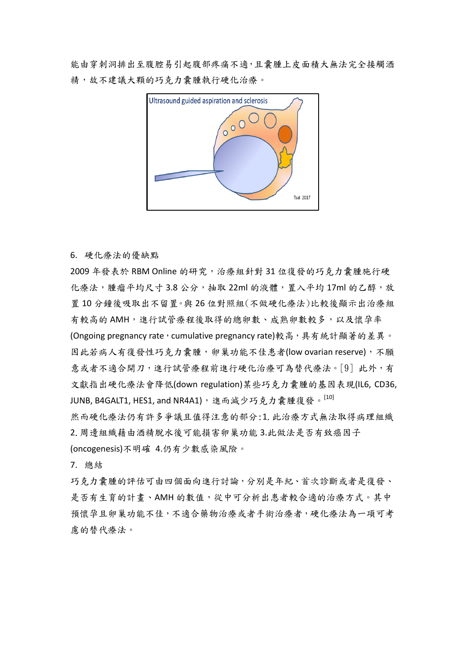能由穿刺洞排出至腹腔易引起腹部疼痛不適,且囊腫上皮面積大無法完全接觸酒 精,故不建議大顆的巧克力囊腫執行硬化治療。



## 6. 硬化療法的優缺點

2009 年發表於 RBM Online 的研究,治療組針對 31 位復發的巧克力囊腫施行硬 化療法,腫瘤平均尺寸 3.8 公分,抽取 22ml 的液體,置入平均 17ml 的乙醇,放 置 10 分鐘後吸取出不留置。與 26 位對照組(不做硬化療法)比較後顯示出治療組 有較高的 AMH, 進行試管療程後取得的總卵數、成熟卵數較多,以及懷孕率 (Ongoing pregnancy rate, cumulative pregnancy rate)較高,具有統計顯著的差異。 因此若病人有復發性巧克力囊腫,卵巢功能不佳患者(low ovarian reserve),不願 意或者不適合開刀,進行試管療程前進行硬化治療可為替代療法。[9] 此外,有 文獻指出硬化療法會降低(down regulation)某些巧克力囊腫的基因表現(IL6, CD36, JUNB, B4GALT1, HES1, and NR4A1),進而減少巧克力囊腫復發。[10]

然而硬化療法仍有許多爭議且值得注意的部分:1.此治療方式無法取得病理組織 2.周邊組織藉由酒精脫水後可能損害卵巢功能 3.此做法是否有致癌因子 (oncogenesis)不明確 4.仍有少數感染風險。

7. 總結

巧克力囊腫的評估可由四個面向進行討論,分別是年紀、首次診斷或者是復發、 是否有生育的計畫、AMH 的數值,從中可分析出患者較合適的治療方式。其中 預懷孕且卵巢功能不佳,不適合藥物治療或者手術治療者,硬化療法為一項可考 慮的替代療法。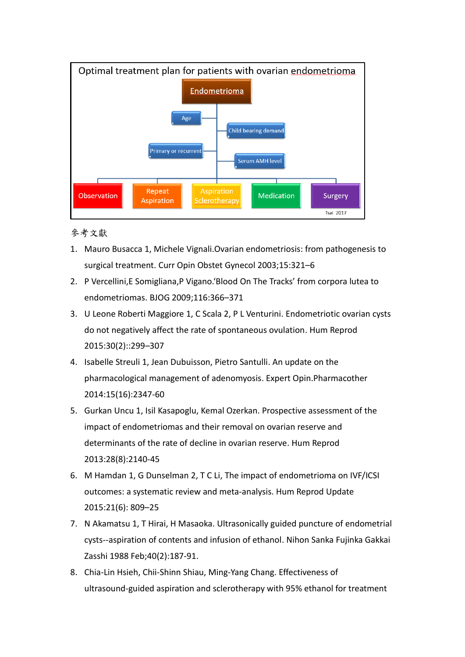

參考文獻

- 1. Mauro Busacca 1, Michele Vignali.Ovarian endometriosis: from pathogenesis to surgical treatment. Curr Opin Obstet Gynecol 2003;15:321–6
- 2. P Vercellini,E Somigliana,P Vigano.'Blood On The Tracks' from corpora lutea to endometriomas. BJOG 2009;116:366–371
- 3. U Leone Roberti Maggiore 1, C Scala 2, P L Venturini. Endometriotic ovarian cysts do not negatively affect the rate of spontaneous ovulation. Hum Reprod 2015:30(2)::299–307
- 4. Isabelle Streuli 1, Jean Dubuisson, Pietro Santulli. An update on the pharmacological management of adenomyosis. Expert Opin.Pharmacother 2014:15(16):2347-60
- 5. Gurkan Uncu 1, Isil Kasapoglu, Kemal Ozerkan. Prospective assessment of the impact of endometriomas and their removal on ovarian reserve and determinants of the rate of decline in ovarian reserve. Hum Reprod 2013:28(8):2140-45
- 6. M Hamdan 1, G Dunselman 2, T C Li, The impact of endometrioma on IVF/ICSI outcomes: a systematic review and meta-analysis. Hum Reprod Update 2015:21(6): 809–25
- 7. N Akamatsu 1, T Hirai, H Masaoka. Ultrasonically guided puncture of endometrial cysts--aspiration of contents and infusion of ethanol. Nihon Sanka Fujinka Gakkai Zasshi 1988 Feb;40(2):187-91.
- 8. Chia-Lin Hsieh, Chii-Shinn Shiau, Ming-Yang Chang. Effectiveness of ultrasound-guided aspiration and sclerotherapy with 95% ethanol for treatment